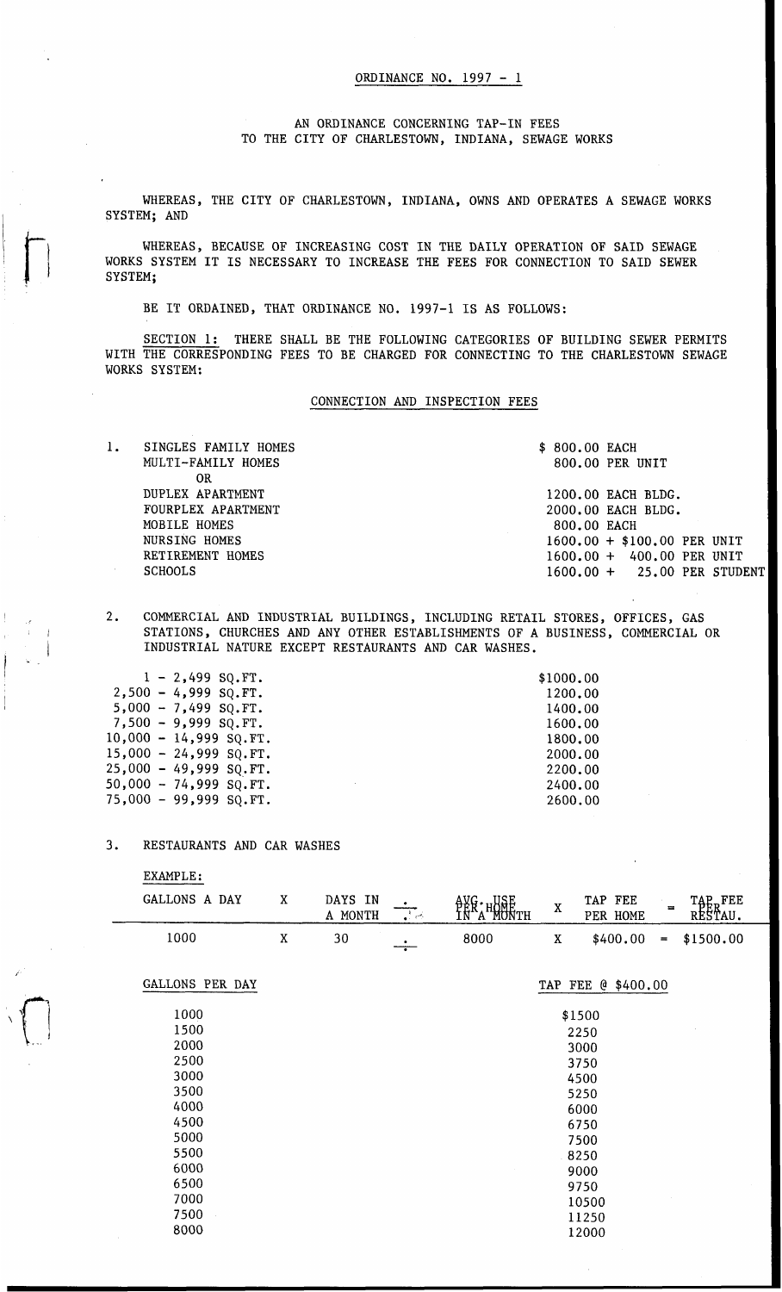## ORDINANCE NO. *1997*

AN ORDINANCE CONCERNING TAP-IN FEES TO THE CITY OF CHARLESTOWN, INDIANA, SEWAGE WORKS

WHEREAS, THE CITY OF CHARLESTOWN, INDIANA, OWNS AND OPERATES A SEWAGE WORKS SYSTEM; AND

WHEREAS, BECAUSE OF INCREASING COST IN THE DAILY OPERATION OF SAID SEWAGE WORKS SYSTEM IT IS NECESSARY TO INCREASE THE FEES FOR CONNECTION TO SAID SEWER SYSTEM;

BE IT ORDAINED, THAT ORDINANCE NO. *1997-1* IS AS FOLLOWS:

SECTION *1:* THERE SHALL BE THE FOLLOWING CATEGORIES OF BUILDING SEWER PERMITS WITH THE CORRESPONDING FEES TO BE CHARGED FOR CONNECTING TO THE CHARLESTOWN SEWAGE WORKS SYSTEM:

## CONNECTION AND INSPECTION FEES

1. SINGLES FAMILY HOMES **\$ 800.00 EACH**<br>MULTI-FAMILY HOMES 800.00 PER UNIT MULTI-FAMILY HOMES DUPLEX APARTMENT **1200.00 EACH BLDG.**<br>FOURPLEX APARTMENT **1200.00 EACH BLDG.** FOURPLEX APARTMENT *2000.00 EACH BLDG. 2000.00 EACH BLDG.* MOBILE HOMES **800.00 EACH**<br>NURSING HOMES **800.00 FMOBILE** NURSING HOMES<br>RETIREMENT HOMES<br>RETIREMENT HOMES<br> $1600.00 + 400.00$  PER UNIT RETIREMENT HOMES **1600.00 + 400.00 PER UNIT**<br>**1600.00 + 25.00 PER STUD**<br>**1600.00 + 25.00 PER STUD** SCHOOLS *1600.00* + *25.00* PER STUDENT OR

*2.* COMMERCIAL AND INDUSTRIAL BUILDINGS, INCLUDING RETAIL STORES, OFFICES, GAS STATIONS, CHURCHES AND ANY OTHER ESTABLISHMENTS OF A BUSINESS, COMMERCIAL OR INDUSTRIAL NATURE EXCEPT RESTAURANTS AND CAR WASHES.

|  | $1 - 2,499$ SQ. FT.      | \$1000.00 |
|--|--------------------------|-----------|
|  | $2,500 - 4,999$ SQ.FT.   | 1200.00   |
|  | $5,000 - 7,499$ SQ.FT.   | 1400.00   |
|  | $7,500 - 9,999$ SQ.FT.   | 1600,00   |
|  | $10,000 - 14,999$ SQ.FT. | 1800.00   |
|  | $15,000 - 24,999$ SQ.FT. | 2000.00   |
|  | 25,000 - 49,999 SQ.FT.   | 2200.00   |
|  | 50,000 - 74,999 SQ.FT.   | 2400.00   |
|  | 75,000 - 99,999 SQ.FT.   | 2600.00   |
|  |                          |           |

## *3.* RESTAURANTS AND CAR WASHES

| GALLONS A DAY   | $\mathbf X$ | DAYS IN<br>A MONTH | $\overline{\mathcal{A}}$ | AVG · HONE<br>IN A MONTH | $\mathbf X$ | TAP FEE<br>PER HOME | $\equiv$ | TAP <sub>p</sub> FEE<br>RESTAU. |
|-----------------|-------------|--------------------|--------------------------|--------------------------|-------------|---------------------|----------|---------------------------------|
| 1000            | $\mathbf X$ | 30                 | $\overline{\cdot}$       | 8000                     | $\mathbf X$ | \$400.00            | $\equiv$ | \$1500.00                       |
| GALLONS PER DAY |             |                    |                          |                          | TAP FEE     | $@$ \$400.00        |          |                                 |
| 1000            |             |                    |                          |                          |             | \$1500              |          |                                 |
| 1500            |             |                    |                          |                          |             | 2250                |          |                                 |
| 2000            |             |                    |                          |                          |             | 3000                |          |                                 |
| 2500            |             |                    |                          |                          |             | 3750                |          |                                 |
| 3000            |             |                    |                          |                          |             | 4500                |          |                                 |
| 3500            |             |                    |                          |                          |             | 5250                |          |                                 |
| 4000            |             |                    |                          |                          |             | 6000                |          |                                 |
| 4500            |             |                    |                          |                          |             | 6750                |          |                                 |
| 5000            |             |                    |                          |                          |             | 7500                |          |                                 |
| 5500            |             |                    |                          |                          |             | 8250                |          |                                 |
| 6000            |             |                    |                          |                          |             | 9000                |          |                                 |
| 6500            |             |                    |                          |                          |             | 9750                |          |                                 |
| 7000            |             |                    |                          |                          |             | 10500               |          |                                 |
| 7500            |             |                    |                          |                          |             | 11250               |          |                                 |
| 8000            |             |                    |                          |                          |             | 12000               |          |                                 |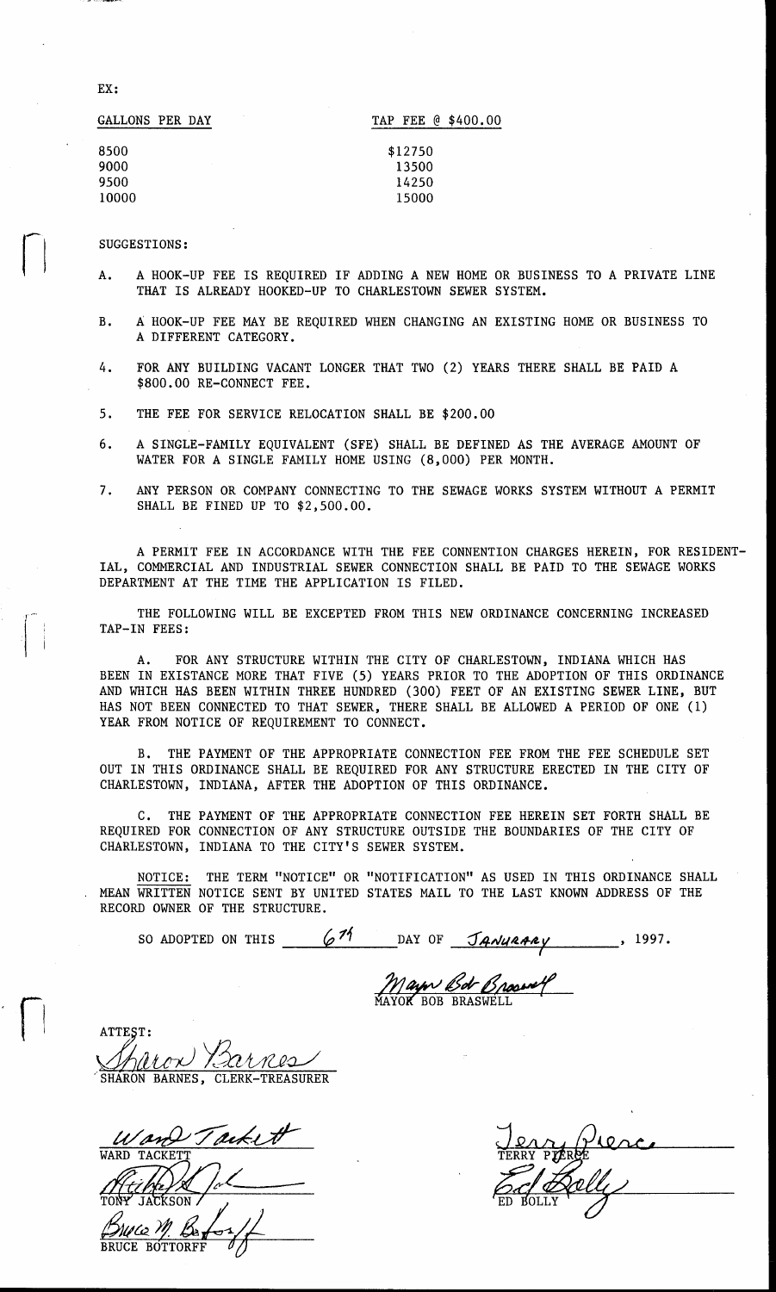EX :

| GALLONS PER DAY | TAP FEE @ \$400.00 |
|-----------------|--------------------|
| 8500            | \$12750            |
| 9000            | 13500              |
| 9500            | 14250              |
| 10000           | 15000              |

## SUGGESTIONS:

- A. A HOOK-UP FEE IS REQUIRED IF ADDING A NEW HOME OR BUSINESS TO A PRIVATE LINE THAT IS ALREADY HOOKED-UP TO CHARLESTOWN SEWER SYSTEM.
- B. A HOOK-UP FEE MAY BE REQUIRED WHEN CHANGING AN EXISTING HOME OR BUSINESS TO A DIFFERENT CATEGORY.
- *4.* FOR ANY BUILDING VACANT LONGER THAT TWO (2) YEARS THERE SHALL BE PAID A \$800.00 RE-CONNECT FEE.
- 5. THE FEE FOR SERVICE RELOCATION SHALL BE \$200.00
- 6. A SINGLE-FAMILY EQUIVALENT (SFE) SHALL BE DEFINED AS THE AVERAGE AMOUNT OF WATER FOR A SINGLE FAMILY HOME USING (8,000) PER MONTH.
- 7. ANY PERSON OR COMPANY CONNECTING TO THE SEWAGE WORKS SYSTEM WITHOUT A PERMIT SHALL BE FINED UP TO \$2,500.00.

A PERMIT FEE IN ACCORDANCE WITH THE FEE CONNENTION CHARGES HEREIN, FOR RESIDENT-IAL, COMMERCIAL AND INDUSTRIAL SEWER CONNECTION SHALL BE PAID TO THE SEWAGE WORKS DEPARTMENT AT THE TIME THE APPLICATION IS FILED.

THE FOLLOWING WILL BE EXCEPTED FROM THIS NEW ORDINANCE CONCERNING INCREASED TAP-IN FEES:

A. FOR ANY STRUCTURE WITHIN THE CITY OF CHARLESTOWN, INDIANA WHICH HAS BEEN IN EXISTANCE MORE THAT FIVE (5) YEARS PRIOR TO THE ADOPTION OF THIS ORDINANCE AND WHICH HAS BEEN WITHIN THREE HUNDRED (300) FEET OF AN EXISTING SEWER LINE, BUT HAS NOT BEEN CONNECTED TO THAT SEWER, THERE SHALL BE ALLOWED A PERIOD OF ONE (1) YEAR FROM NOTICE OF REQUIREMENT TO CONNECT.

B. THE PAYMENT OF THE APPROPRIATE CONNECTION FEE FROM THE FEE SCHEDULE SET OUT IN THIS ORDINANCE SHALL BE REQUIRED FOR ANY STRUCTURE ERECTED IN THE CITY OF CHARLESTOWN, INDIANA, AFTER THE ADOPTION OF THIS ORDINANCE.

C. THE PAYMENT OF THE APPROPRIATE CONNECTION FEE HEREIN SET FORTH SHALL BE REQUIRED FOR CONNECTION OF ANY STRUCTURE OUTSIDE THE BOUNDARIES OF THE CITY OF CHARLESTOWN, INDIANA TO THE CITY'S SEWER SYSTEM.

NOTICE: THE TERM "NOTICE" OR "NOTIFICATION" AS USED IN THIS ORDINANCE SHALL MEAN WRITTEN NOTICE SENT BY UNITED STATES MAIL TO THE LAST KNOWN ADDRESS OF THE RECORD OWNER OF THE STRUCTURE.

SO ADOPTED ON THIS  $\frac{671}{\sqrt{21}}$  DAY OF  $\frac{74\sqrt{44444}}{2}$ , 1997.

*Mayor Bob Braswell*  Mayor BOB BRASWELL

ATTEST: ATTEST:<br>*Sharon Barnes, Clerk-Treasurer* 

*u& Tackett*  WARD TACKET Mece P **BRUCE BOTTORFI**